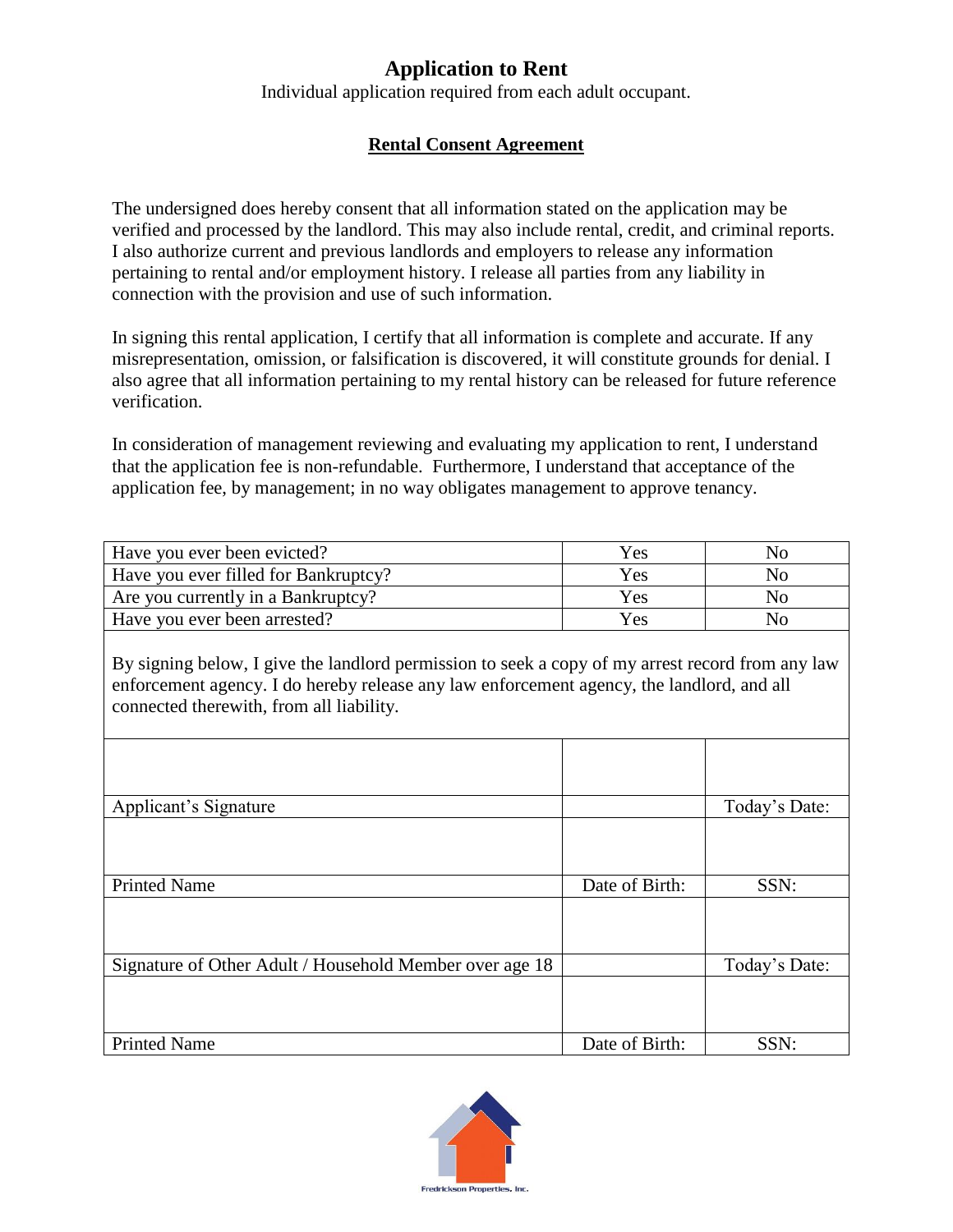## **Application to Rent**

Individual application required from each adult occupant.

## **Rental Consent Agreement**

The undersigned does hereby consent that all information stated on the application may be verified and processed by the landlord. This may also include rental, credit, and criminal reports. I also authorize current and previous landlords and employers to release any information pertaining to rental and/or employment history. I release all parties from any liability in connection with the provision and use of such information.

In signing this rental application, I certify that all information is complete and accurate. If any misrepresentation, omission, or falsification is discovered, it will constitute grounds for denial. I also agree that all information pertaining to my rental history can be released for future reference verification.

In consideration of management reviewing and evaluating my application to rent, I understand that the application fee is non-refundable. Furthermore, I understand that acceptance of the application fee, by management; in no way obligates management to approve tenancy.

| Have you ever been evicted?          | Yes | NO  |
|--------------------------------------|-----|-----|
| Have you ever filled for Bankruptcy? | Yes | Nο  |
| Are you currently in a Bankruptcy?   | Yes | NO. |
| Have you ever been arrested?         | Yes | No  |

By signing below, I give the landlord permission to seek a copy of my arrest record from any law enforcement agency. I do hereby release any law enforcement agency, the landlord, and all connected therewith, from all liability.

| Applicant's Signature                                   |                | Today's Date: |
|---------------------------------------------------------|----------------|---------------|
|                                                         |                |               |
| <b>Printed Name</b>                                     | Date of Birth: | SSN:          |
|                                                         |                |               |
| Signature of Other Adult / Household Member over age 18 |                | Today's Date: |
|                                                         |                |               |
| <b>Printed Name</b>                                     | Date of Birth: | SSN:          |